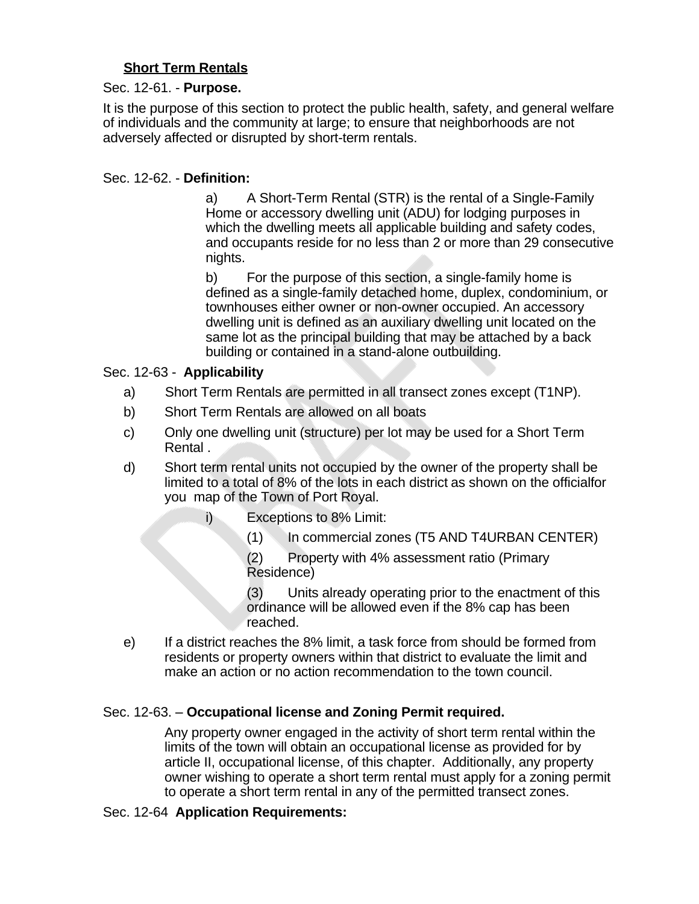# **Short Term Rentals**

### Sec. 12-61. - **Purpose.**

It is the purpose of this section to protect the public health, safety, and general welfare of individuals and the community at large; to ensure that neighborhoods are not adversely affected or disrupted by short-term rentals.

## Sec. 12-62. - **Definition:**

a) A Short-Term Rental (STR) is the rental of a Single-Family Home or accessory dwelling unit (ADU) for lodging purposes in which the dwelling meets all applicable building and safety codes, and occupants reside for no less than 2 or more than 29 consecutive nights.

b) For the purpose of this section, a single-family home is defined as a single-family detached home, duplex, condominium, or townhouses either owner or non-owner occupied. An accessory dwelling unit is defined as an auxiliary dwelling unit located on the same lot as the principal building that may be attached by a back building or contained in a stand-alone outbuilding.

## Sec. 12-63 - **Applicability**

- a) Short Term Rentals are permitted in all transect zones except (T1NP).
- b) Short Term Rentals are allowed on all boats
- c) Only one dwelling unit (structure) per lot may be used for a Short Term Rental .
- d) Short term rental units not occupied by the owner of the property shall be limited to a total of 8% of the lots in each district as shown on the officialfor you map of the Town of Port Royal.
	- i) Exceptions to 8% Limit:
		- (1) In commercial zones (T5 AND T4URBAN CENTER)

(2) Property with 4% assessment ratio (Primary Residence)

(3) Units already operating prior to the enactment of this ordinance will be allowed even if the 8% cap has been reached.

e) If a district reaches the 8% limit, a task force from should be formed from residents or property owners within that district to evaluate the limit and make an action or no action recommendation to the town council.

# Sec. 12-63. – **Occupational license and Zoning Permit required.**

Any property owner engaged in the activity of short term rental within the limits of the town will obtain an occupational license as provided for by article II, occupational license, of this chapter. Additionally, any property owner wishing to operate a short term rental must apply for a zoning permit to operate a short term rental in any of the permitted transect zones.

### Sec. 12-64 **Application Requirements:**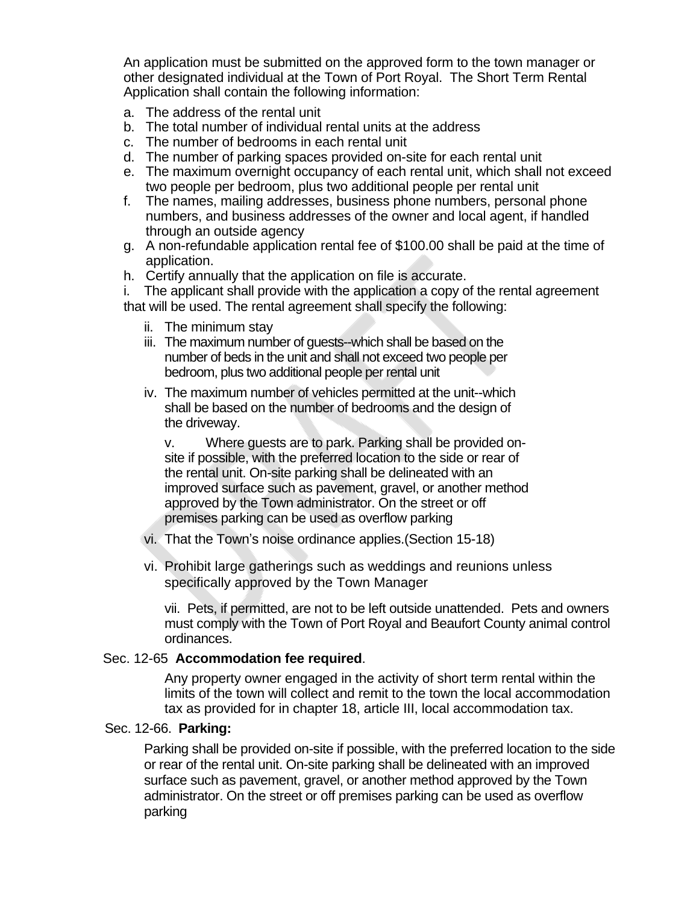An application must be submitted on the approved form to the town manager or other designated individual at the Town of Port Royal. The Short Term Rental Application shall contain the following information:

- a. The address of the rental unit
- b. The total number of individual rental units at the address
- c. The number of bedrooms in each rental unit
- d. The number of parking spaces provided on-site for each rental unit
- e. The maximum overnight occupancy of each rental unit, which shall not exceed two people per bedroom, plus two additional people per rental unit
- f. The names, mailing addresses, business phone numbers, personal phone numbers, and business addresses of the owner and local agent, if handled through an outside agency
- g. A non-refundable application rental fee of \$100.00 shall be paid at the time of application.
- h. Certify annually that the application on file is accurate.

i. The applicant shall provide with the application a copy of the rental agreement that will be used. The rental agreement shall specify the following:

- ii. The minimum stay
- iii. The maximum number of guests--which shall be based on the number of beds in the unit and shall not exceed two people per bedroom, plus two additional people per rental unit
- iv. The maximum number of vehicles permitted at the unit--which shall be based on the number of bedrooms and the design of the driveway.

v. Where guests are to park. Parking shall be provided onsite if possible, with the preferred location to the side or rear of the rental unit. On-site parking shall be delineated with an improved surface such as pavement, gravel, or another method approved by the Town administrator. On the street or off premises parking can be used as overflow parking

- vi. That the Town's noise ordinance applies.(Section 15-18)
- vi. Prohibit large gatherings such as weddings and reunions unless specifically approved by the Town Manager

vii. Pets, if permitted, are not to be left outside unattended. Pets and owners must comply with the Town of Port Royal and Beaufort County animal control ordinances.

#### Sec. 12-65 **Accommodation fee required**.

Any property owner engaged in the activity of short term rental within the limits of the town will collect and remit to the town the local accommodation tax as provided for in chapter 18, article III, local accommodation tax.

### Sec. 12-66. **Parking:**

Parking shall be provided on-site if possible, with the preferred location to the side or rear of the rental unit. On-site parking shall be delineated with an improved surface such as pavement, gravel, or another method approved by the Town administrator. On the street or off premises parking can be used as overflow parking